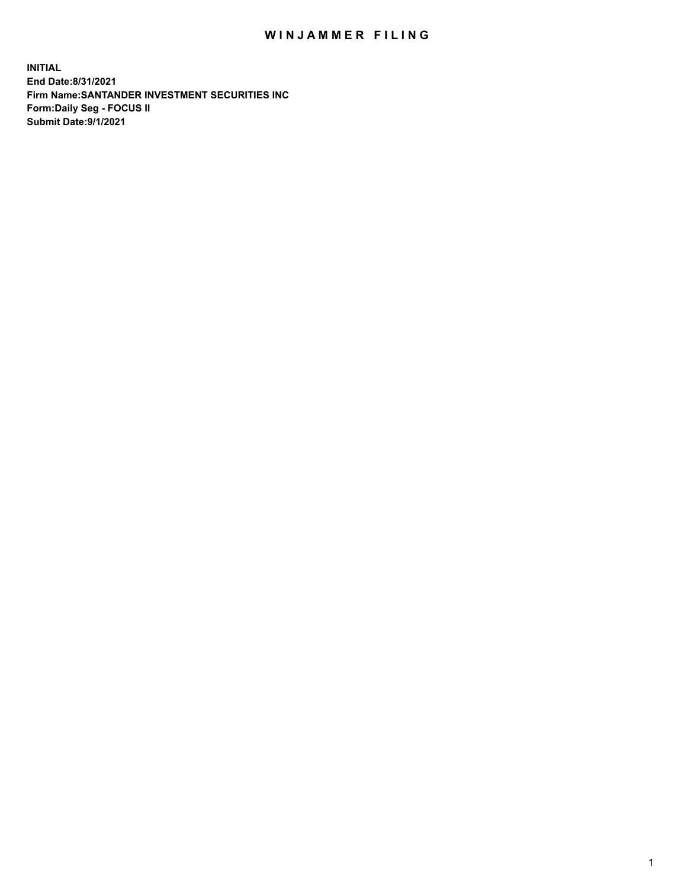## WIN JAMMER FILING

**INITIAL End Date:8/31/2021 Firm Name:SANTANDER INVESTMENT SECURITIES INC Form:Daily Seg - FOCUS II Submit Date:9/1/2021**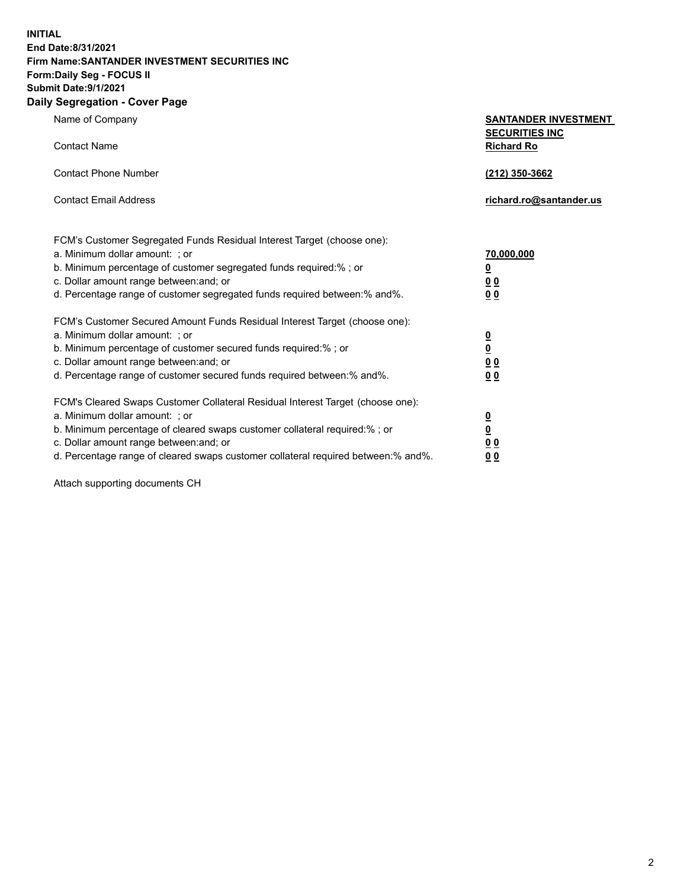**INITIAL End Date:8/31/2021 Firm Name:SANTANDER INVESTMENT SECURITIES INC Form:Daily Seg - FOCUS II Submit Date:9/1/2021 Daily Segregation - Cover Page**

**Name of Company** 

**Contact Name** 

| <b>SANTANDER INVESTMENT</b> |
|-----------------------------|
| <b>SECURITIES INC</b>       |
| <b>Richard Ro</b>           |

| Contact Phone Number                                                                                                                                                          | (212) 350-3662          |
|-------------------------------------------------------------------------------------------------------------------------------------------------------------------------------|-------------------------|
| <b>Contact Email Address</b>                                                                                                                                                  | richard.ro@santander.us |
| FCM's Customer Segregated Funds Residual Interest Target (choose one):<br>a. Minimum dollar amount: ; or<br>b. Minimum percentage of customer segregated funds required:%; or | 70,000,000<br>0         |

c. Dollar amount range between:and; or **0 0** d. Percentage range of customer segregated funds required between:% and%. **0 0**

| FCM's Customer Secured Amount Funds Residual Interest Target (choose one):<br>a. Minimum dollar amount: ; or<br>b. Minimum percentage of customer secured funds required:%; or<br>c. Dollar amount range between: and; or<br>d. Percentage range of customer secured funds required between: % and %. | <u>0</u><br>$\overline{\mathbf{0}}$<br>00<br>00 |
|-------------------------------------------------------------------------------------------------------------------------------------------------------------------------------------------------------------------------------------------------------------------------------------------------------|-------------------------------------------------|
| FCM's Cleared Swaps Customer Collateral Residual Interest Target (choose one):<br>a. Minimum dollar amount: ; or                                                                                                                                                                                      |                                                 |
| b. Minimum percentage of cleared swaps customer collateral required:% ; or                                                                                                                                                                                                                            | <u>0</u><br>$\overline{\mathbf{0}}$             |
| c. Dollar amount range between: and; or<br>d. Percentage range of cleared swaps customer collateral required between:% and%.                                                                                                                                                                          | 00                                              |
|                                                                                                                                                                                                                                                                                                       | 00                                              |

Attach supporting documents CH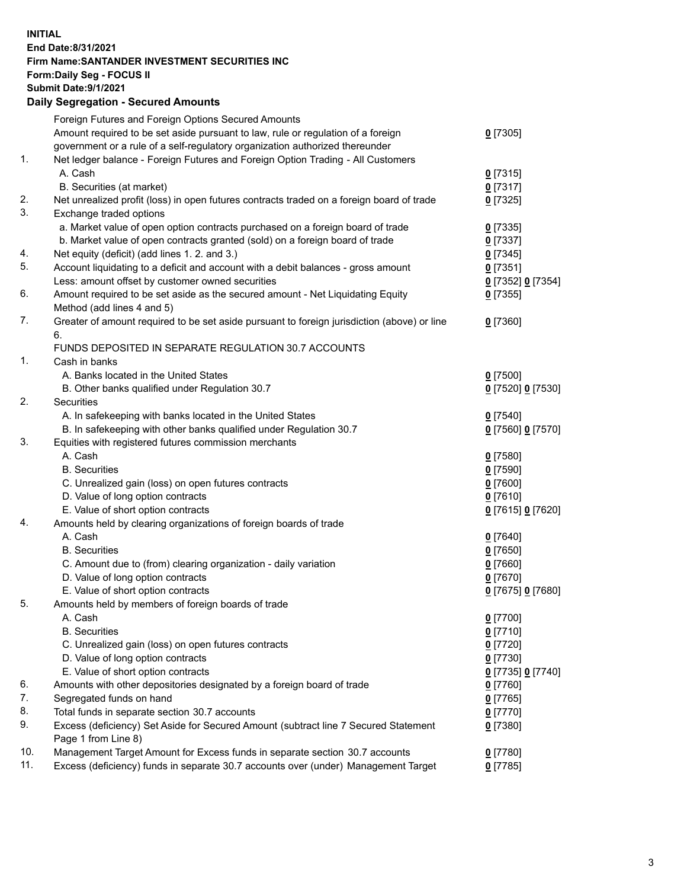## **INITIAL End Date:8/31/2021 Firm Name:SANTANDER INVESTMENT SECURITIES INC Form:Daily Seg - FOCUS II Submit Date:9/1/2021 Daily Segregation - Secured Amounts** Foreign Futures and Foreign Options Secured Amounts

| $0$ [7305]                                                                                                                                                                                    |
|-----------------------------------------------------------------------------------------------------------------------------------------------------------------------------------------------|
|                                                                                                                                                                                               |
| Net ledger balance - Foreign Futures and Foreign Option Trading - All Customers                                                                                                               |
| $0$ [7315]                                                                                                                                                                                    |
| $0$ [7317]                                                                                                                                                                                    |
| Net unrealized profit (loss) in open futures contracts traded on a foreign board of trade<br>$0$ [7325]                                                                                       |
|                                                                                                                                                                                               |
| a. Market value of open option contracts purchased on a foreign board of trade<br>$0$ [7335]                                                                                                  |
| $0$ [7337]                                                                                                                                                                                    |
| $0$ [7345]                                                                                                                                                                                    |
| Account liquidating to a deficit and account with a debit balances - gross amount<br>$0$ [7351]                                                                                               |
| 0 [7352] 0 [7354]                                                                                                                                                                             |
| Amount required to be set aside as the secured amount - Net Liquidating Equity<br>$0$ [7355]                                                                                                  |
|                                                                                                                                                                                               |
| Greater of amount required to be set aside pursuant to foreign jurisdiction (above) or line<br>$0$ [7360]                                                                                     |
|                                                                                                                                                                                               |
|                                                                                                                                                                                               |
|                                                                                                                                                                                               |
| $0$ [7500]                                                                                                                                                                                    |
| 0 [7520] 0 [7530]                                                                                                                                                                             |
|                                                                                                                                                                                               |
| $0$ [7540]                                                                                                                                                                                    |
| 0 [7560] 0 [7570]                                                                                                                                                                             |
|                                                                                                                                                                                               |
| $0$ [7580]                                                                                                                                                                                    |
| $0$ [7590]                                                                                                                                                                                    |
| $0$ [7600]                                                                                                                                                                                    |
|                                                                                                                                                                                               |
| $0$ [7610]                                                                                                                                                                                    |
| 0 [7615] 0 [7620]                                                                                                                                                                             |
|                                                                                                                                                                                               |
| $0$ [7640]                                                                                                                                                                                    |
| $0$ [7650]                                                                                                                                                                                    |
| $0$ [7660]                                                                                                                                                                                    |
| $0$ [7670]                                                                                                                                                                                    |
| 0 [7675] 0 [7680]                                                                                                                                                                             |
|                                                                                                                                                                                               |
| $0$ [7700]                                                                                                                                                                                    |
| $0$ [7710]                                                                                                                                                                                    |
| $0$ [7720]                                                                                                                                                                                    |
| $0$ [7730]                                                                                                                                                                                    |
| 0 [7735] 0 [7740]                                                                                                                                                                             |
| $0$ [7760]                                                                                                                                                                                    |
|                                                                                                                                                                                               |
| $0$ [7765]                                                                                                                                                                                    |
| $0$ [7770]                                                                                                                                                                                    |
| Excess (deficiency) Set Aside for Secured Amount (subtract line 7 Secured Statement<br>$0$ [7380]                                                                                             |
|                                                                                                                                                                                               |
| Management Target Amount for Excess funds in separate section 30.7 accounts<br>$0$ [7780]<br>Excess (deficiency) funds in separate 30.7 accounts over (under) Management Target<br>$0$ [7785] |
|                                                                                                                                                                                               |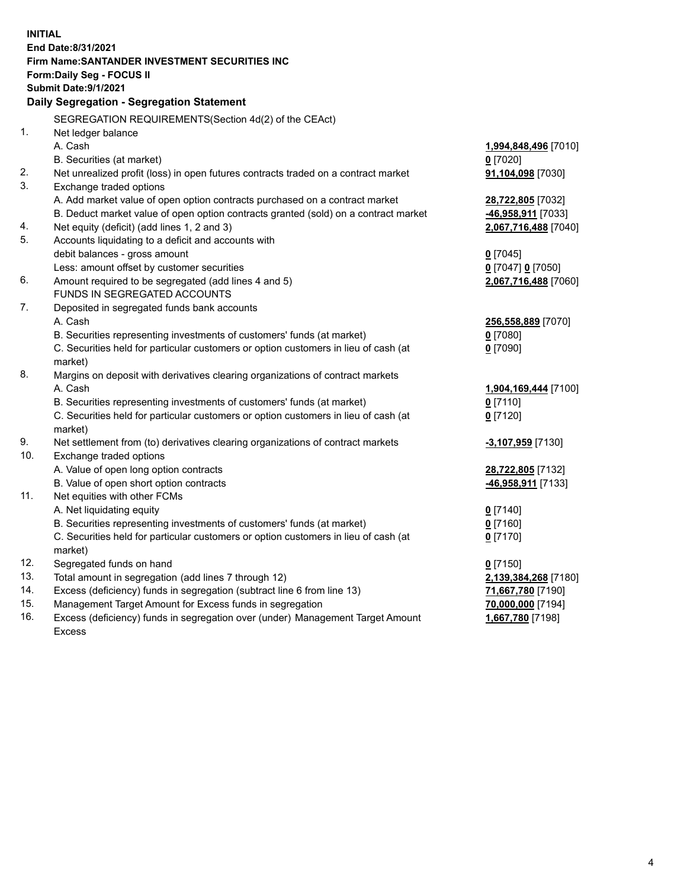| <b>INITIAL</b> |                                                                                     |                      |
|----------------|-------------------------------------------------------------------------------------|----------------------|
|                | End Date:8/31/2021                                                                  |                      |
|                | Firm Name: SANTANDER INVESTMENT SECURITIES INC                                      |                      |
|                | Form: Daily Seg - FOCUS II                                                          |                      |
|                | Submit Date: 9/1/2021                                                               |                      |
|                | Daily Segregation - Segregation Statement                                           |                      |
|                | SEGREGATION REQUIREMENTS(Section 4d(2) of the CEAct)                                |                      |
| 1.             | Net ledger balance                                                                  |                      |
|                | A. Cash                                                                             | 1,994,848,496 [7010] |
|                | B. Securities (at market)                                                           | $0$ [7020]           |
| 2.             | Net unrealized profit (loss) in open futures contracts traded on a contract market  | 91,104,098 [7030]    |
| 3.             | Exchange traded options                                                             |                      |
|                | A. Add market value of open option contracts purchased on a contract market         | 28,722,805 [7032]    |
|                | B. Deduct market value of open option contracts granted (sold) on a contract market | 46,958,911 [7033]    |
| 4.             | Net equity (deficit) (add lines 1, 2 and 3)                                         | 2,067,716,488 [7040] |
| 5.             | Accounts liquidating to a deficit and accounts with                                 |                      |
|                | debit balances - gross amount                                                       | $0$ [7045]           |
|                | Less: amount offset by customer securities                                          | 0 [7047] 0 [7050]    |
| 6.             | Amount required to be segregated (add lines 4 and 5)                                | 2,067,716,488 [7060] |
|                | FUNDS IN SEGREGATED ACCOUNTS                                                        |                      |
| 7.             | Deposited in segregated funds bank accounts                                         |                      |
|                | A. Cash                                                                             | 256,558,889 [7070]   |
|                | B. Securities representing investments of customers' funds (at market)              | $0$ [7080]           |
|                | C. Securities held for particular customers or option customers in lieu of cash (at | $0$ [7090]           |
|                | market)                                                                             |                      |
| 8.             | Margins on deposit with derivatives clearing organizations of contract markets      |                      |
|                | A. Cash                                                                             | 1,904,169,444 [7100] |
|                | B. Securities representing investments of customers' funds (at market)              | $0$ [7110]           |
|                | C. Securities held for particular customers or option customers in lieu of cash (at | $0$ [7120]           |
|                | market)                                                                             |                      |
| 9.             | Net settlement from (to) derivatives clearing organizations of contract markets     | -3,107,959 [7130]    |
| 10.            | Exchange traded options                                                             |                      |
|                | A. Value of open long option contracts                                              | 28,722,805 [7132]    |
|                | B. Value of open short option contracts                                             | 46,958,911 [7133]    |
| 11.            | Net equities with other FCMs                                                        |                      |
|                | A. Net liquidating equity                                                           | $0$ [7140]           |
|                | B. Securities representing investments of customers' funds (at market)              | $0$ [7160]           |
|                | C. Securities held for particular customers or option customers in lieu of cash (at | $0$ [7170]           |
|                | market)                                                                             |                      |
| 12.            | Segregated funds on hand                                                            | $0$ [7150]           |
| 13.            | Total amount in segregation (add lines 7 through 12)                                | 2,139,384,268 [7180] |
| 14.            | Excess (deficiency) funds in segregation (subtract line 6 from line 13)             | 71,667,780 [7190]    |
| 15.            | Management Target Amount for Excess funds in segregation                            | 70,000,000 [7194]    |
| 16.            | Excess (deficiency) funds in segregation over (under) Management Target Amount      | 1,667,780 [7198]     |
|                | <b>Excess</b>                                                                       |                      |